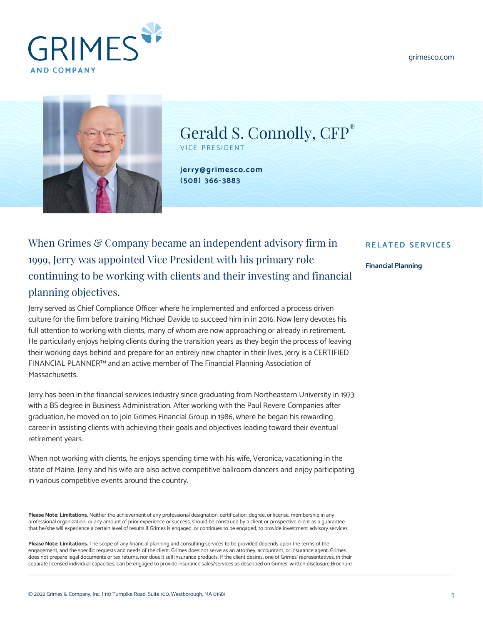





Gerald S. Connolly,  $CFP^*$ VICE PRESIDENT

**[jerry@grimesco.com](mailto:jerry@grimesco.com) [\(508\) 366-3883](#page--1-0)**

## When Grimes & Company became an independent advisory firm in 1999, Jerry was appointed Vice President with his primary role continuing to be working with clients and their investing and financial planning objectives.

Jerry served as Chief Compliance Officer where he implemented and enforced a process driven culture for the firm before training Michael Davide to succeed him in in 2016. Now Jerry devotes his full attention to working with clients, many of whom are now approaching or already in retirement. He particularly enjoys helping clients during the transition years as they begin the process of leaving their working days behind and prepare for an entirely new chapter in their lives. Jerry is a CERTIFIED FINANCIAL PLANNER™ and an active member of The Financial Planning Association of Massachusetts.

Jerry has been in the financial services industry since graduating from Northeastern University in 1973 with a BS degree in Business Administration. After working with the Paul Revere Companies after graduation, he moved on to join Grimes Financial Group in 1986, where he began his rewarding career in assisting clients with achieving their goals and objectives leading toward their eventual retirement years.

When not working with clients, he enjoys spending time with his wife, Veronica, vacationing in the state of Maine. Jerry and his wife are also active competitive ballroom dancers and enjoy participating in various competitive events around the country.

Please Note: Limitations. Neither the achievement of any professional designation, certification, degree, or license, membership in any professional organization, or any amount of prior experience or success, should be construed by a client or prospective client as a guarantee that he/she will experience a certain level of results if Grimes is engaged, or continues to be engaged, to provide investment advisory services.

**Please Note: Limitations.** The scope of any financial planning and consulting services to be provided depends upon the terms of the engagement, and the specific requests and needs of the client. Grimes does not serve as an attorney, accountant, or insurance agent. Grimes does not prepare legal documents or tax returns, nor does it sell insurance products. If the client desires, one of Grimes' representatives, in their separate licensed individual capacities, can be engaged to provide insurance sales/services as described on Grimes' written disclosure Brochure

## **RELATED SERVICES**

## **[Financial Planning](https://www.grimesco.com/service/financial-planning/)**